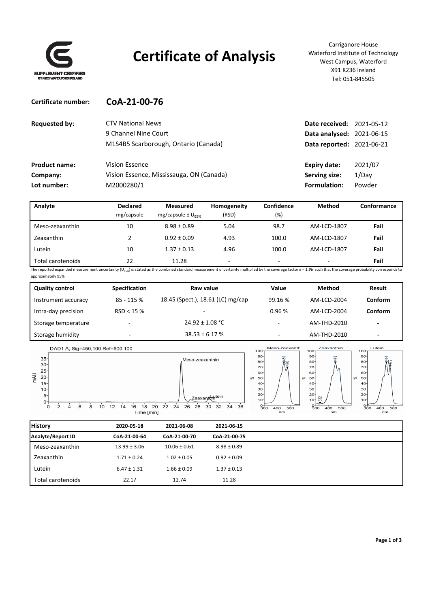

**Certificate number: CoA‐21‐00‐76**

## **Certificate of Analysis**

Carriganore House Waterford Institute of Technology West Campus, Waterford X91 K236 Ireland Tel: 051‐845505

| <b>Requested by:</b> | <b>CTV National News</b>                 | <b>Date received: 2021-05-12</b> |         |
|----------------------|------------------------------------------|----------------------------------|---------|
|                      | 9 Channel Nine Court                     | <b>Data analysed: 2021-06-15</b> |         |
|                      | M1S4B5 Scarborough, Ontario (Canada)     | <b>Data reported: 2021-06-21</b> |         |
| <b>Product name:</b> | Vision Essence                           | <b>Expiry date:</b>              | 2021/07 |
| Company:             | Vision Essence, Mississauga, ON (Canada) | Serving size:                    | 1/Dav   |
| Lot number:          | M2000280/1                               | Formulation:                     | Powder  |

| Analyte           | <b>Declared</b><br>mg/capsule | <b>Measured</b><br>mg/capsule $\pm$ U <sub>95%</sub> | Homogeneity<br>(RSD) | Confidence<br>(%) | Method                   | Conformance |
|-------------------|-------------------------------|------------------------------------------------------|----------------------|-------------------|--------------------------|-------------|
| Meso-zeaxanthin   | 10                            | $8.98 \pm 0.89$                                      | 5.04                 | 98.7              | AM-LCD-1807              | Fail        |
| Zeaxanthin        |                               | $0.92 \pm 0.09$                                      | 4.93                 | 100.0             | AM-LCD-1807              | Fail        |
| Lutein            | 10                            | $1.37 \pm 0.13$                                      | 4.96                 | 100.0             | AM-LCD-1807              | Fail        |
| Total carotenoids | 22                            | 11.28                                                | $\sim$               | $\sim$            | $\overline{\phantom{a}}$ | Fail        |

The reported expanded measurement uncertainty (U<sub>95%</sub>) is stated as the combined standard measurement uncertainty multiplied by the coverage factor  $k = 1.96$  such that the coverage probability corresponds to approximately 95%

| <b>Quality control</b> | <b>Specification</b> | Raw value                         | Value                    | Method      | Result                   |
|------------------------|----------------------|-----------------------------------|--------------------------|-------------|--------------------------|
| Instrument accuracy    | 85 - 115 %           | 18.45 (Spect.), 18.61 (LC) mg/cap | 99.16%                   | AM-LCD-2004 | Conform                  |
| Intra-day precision    | RSD < 15%            |                                   | 0.96%                    | AM-LCD-2004 | Conform                  |
| Storage temperature    |                      | $24.92 \pm 1.08$ °C               | $\overline{\phantom{0}}$ | AM-THD-2010 | $\overline{\phantom{a}}$ |
| Storage humidity       |                      | $38.53 \pm 6.17$ %                |                          | AM-THD-2010 | $\overline{\phantom{0}}$ |



| <b>History</b>    | 2020 05 18       | 2021-06-08       | 2021-06-15      |
|-------------------|------------------|------------------|-----------------|
| Analyte/Report ID | CoA-21-00-64     | CoA-21-00-70     | CoA-21-00-75    |
| Meso-zeaxanthin   | $13.99 \pm 3.06$ | $10.06 \pm 0.61$ | $8.98 \pm 0.89$ |
| Zeaxanthin        | $1.71 \pm 0.24$  | $1.02 \pm 0.05$  | $0.92 \pm 0.09$ |
| Lutein            | $6.47 \pm 1.31$  | $1.66 \pm 0.09$  | $1.37 \pm 0.13$ |
| Total carotenoids | 22.17            | 12.74            | 11.28           |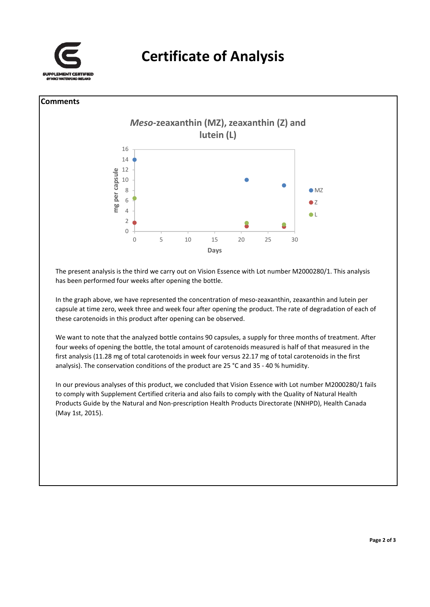





The present analysis is the third we carry out on Vision Essence with Lot number M2000280/1. This analysis has been performed four weeks after opening the bottle.

In the graph above, we have represented the concentration of meso-zeaxanthin, zeaxanthin and lutein per capsule at time zero, week three and week four after opening the product. The rate of degradation of each of these carotenoids in this product after opening can be observed.

We want to note that the analyzed bottle contains 90 capsules, a supply for three months of treatment. After four weeks of opening the bottle, the total amount of carotenoids measured is half of that measured in the first analysis (11.28 mg of total carotenoids in week four versus 22.17 mg of total carotenoids in the first analysis). The conservation conditions of the product are 25 °C and 35 ‐ 40 % humidity.

In our previous analyses of this product, we concluded that Vision Essence with Lot number M2000280/1 fails to comply with Supplement Certified criteria and also fails to comply with the Quality of Natural Health Products Guide by the Natural and Non‐prescription Health Products Directorate (NNHPD), Health Canada (May 1st, 2015).